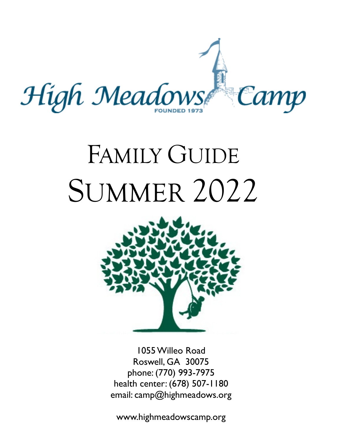

# FAMILY GUIDE SUMMER 2022



1055 Willeo Road Roswell, GA 30075 phone: (770) 993-7975 health center: (678) 507-1180 email: camp@highmeadows.org

www.highmeadowscamp.org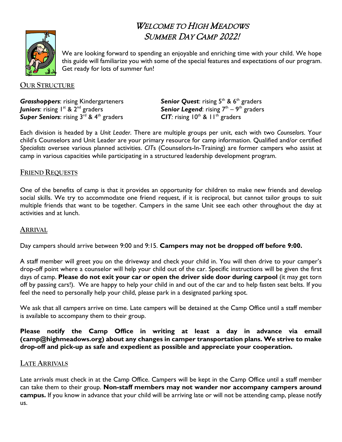# WELCOME TO HIGH MEADOWS SUMMER DAY CAMP 2022!



We are looking forward to spending an enjoyable and enriching time with your child. We hope this guide will familiarize you with some of the special features and expectations of our program. Get ready for lots of summer fun!

### **OUR STRUCTURE**

*Grasshoppers*: rising Kindergarteners **Senior Quest**: rising 5<sup>th</sup> & 6<sup>th</sup> graders **Juniors**: rising 1<sup>st</sup> & 2<sup>nd</sup> graders **Senior Legend**: rising 7<sup>th</sup> – 9<sup>th</sup> graders *Super Seniors: rising 3<sup>rd</sup> & 4<sup>th</sup> graders<sup><i>//super Seniors: rising 3<sup>rd</sup> & 4<sup>th</sup> graders*</sup>

*Senior Legend:* rising 7<sup>th</sup> – 9<sup>th</sup> graders<br>*CIT:* rising 10<sup>th</sup> & 11<sup>th</sup> graders

Each division is headed by a *Unit Leader*. There are multiple groups per unit, each with two *Counselors*. Your child's Counselors and Unit Leader are your primary resource for camp information. Qualified and/or certified *Specialists* oversee various planned activities. *CIT*s (Counselors-In-Training) are former campers who assist at camp in various capacities while participating in a structured leadership development program.

# **FRIEND REQUESTS**

One of the benefits of camp is that it provides an opportunity for children to make new friends and develop social skills. We try to accommodate one friend request, if it is reciprocal, but cannot tailor groups to suit multiple friends that want to be together. Campers in the same Unit see each other throughout the day at activities and at lunch.

# **ARRIVAL**

Day campers should arrive between 9:00 and 9:15. **Campers may not be dropped off before 9:00.**

A staff member will greet you on the driveway and check your child in. You will then drive to your camper's drop-off point where a counselor will help your child out of the car. Specific instructions will be given the first days of camp. **Please do not exit your car or open the driver side door during carpool** (it may get torn off by passing cars!). We are happy to help your child in and out of the car and to help fasten seat belts. If you feel the need to personally help your child, please park in a designated parking spot.

We ask that all campers arrive on time. Late campers will be detained at the Camp Office until a staff member is available to accompany them to their group.

**Please notify the Camp Office in writing at least a day in advance via email (camp@highmeadows.org) about any changes in camper transportation plans. We strive to make drop-off and pick-up as safe and expedient as possible and appreciate your cooperation.**

# **LATE ARRIVALS**

Late arrivals must check in at the Camp Office. Campers will be kept in the Camp Office until a staff member can take them to their group. **Non-staff members may not wander nor accompany campers around campus.** If you know in advance that your child will be arriving late or will not be attending camp, please notify us.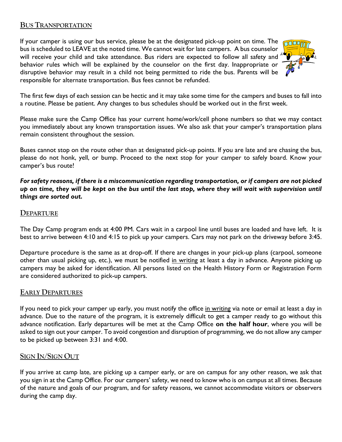# **BUS TRANSPORTATION**

If your camper is using our bus service, please be at the designated pick-up point on time. The bus is scheduled to LEAVE at the noted time. We cannot wait for late campers. A bus counselor will receive your child and take attendance. Bus riders are expected to follow all safety and behavior rules which will be explained by the counselor on the first day. Inappropriate or disruptive behavior may result in a child not being permitted to ride the bus. Parents will be responsible for alternate transportation. Bus fees cannot be refunded.



The first few days of each session can be hectic and it may take some time for the campers and buses to fall into a routine. Please be patient. Any changes to bus schedules should be worked out in the first week.

Please make sure the Camp Office has your current home/work/cell phone numbers so that we may contact you immediately about any known transportation issues. We also ask that your camper's transportation plans remain consistent throughout the session.

Buses cannot stop on the route other than at designated pick-up points. If you are late and are chasing the bus, please do not honk, yell, or bump. Proceed to the next stop for your camper to safely board. Know your camper's bus route!

*For safety reasons, if there is a miscommunication regarding transportation, or if campers are not picked up on time, they will be kept on the bus until the last stop, where they will wait with supervision until things are sorted out.*

#### **DEPARTURE**

The Day Camp program ends at 4:00 PM. Cars wait in a carpool line until buses are loaded and have left. It is best to arrive between 4:10 and 4:15 to pick up your campers. Cars may not park on the driveway before 3:45.

Departure procedure is the same as at drop-off. If there are changes in your pick-up plans (carpool, someone other than usual picking up, etc.), we must be notified in writing at least a day in advance. Anyone picking up campers may be asked for identification. All persons listed on the Health History Form or Registration Form are considered authorized to pick-up campers.

# **EARLY DEPARTURES**

If you need to pick your camper up early, you must notify the office in writing via note or email at least a day in advance. Due to the nature of the program, it is extremely difficult to get a camper ready to go without this advance notification. Early departures will be met at the Camp Office **on the half hour**, where you will be asked to sign out your camper. To avoid congestion and disruption of programming, we do not allow any camper to be picked up between 3:31 and 4:00.

# **SIGN IN/SIGN OUT**

If you arrive at camp late, are picking up a camper early, or are on campus for any other reason, we ask that you sign in at the Camp Office. For our campers' safety, we need to know who is on campus at all times. Because of the nature and goals of our program, and for safety reasons, we cannot accommodate visitors or observers during the camp day.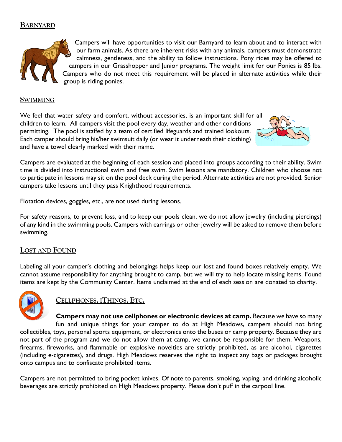# **BARNYARD**



Campers will have opportunities to visit our Barnyard to learn about and to interact with our farm animals. As there are inherent risks with any animals, campers must demonstrate calmness, gentleness, and the ability to follow instructions. Pony rides may be offered to campers in our Grasshopper and Junior programs. The weight limit for our Ponies is 85 lbs. Campers who do not meet this requirement will be placed in alternate activities while their group is riding ponies.

#### **SWIMMING**

We feel that water safety and comfort, without accessories, is an important skill for all children to learn. All campers visit the pool every day, weather and other conditions permitting. The pool is staffed by a team of certified lifeguards and trained lookouts. Each camper should bring his/her swimsuit daily (or wear it underneath their clothing) and have a towel clearly marked with their name.



Campers are evaluated at the beginning of each session and placed into groups according to their ability. Swim time is divided into instructional swim and free swim. Swim lessons are mandatory. Children who choose not to participate in lessons may sit on the pool deck during the period. Alternate activities are not provided. Senior campers take lessons until they pass Knighthood requirements.

Flotation devices, goggles, etc., are not used during lessons.

For safety reasons, to prevent loss, and to keep our pools clean, we do not allow jewelry (including piercings) of any kind in the swimming pools. Campers with earrings or other jewelry will be asked to remove them before swimming.

#### **LOST AND FOUND**

Labeling all your camper's clothing and belongings helps keep our lost and found boxes relatively empty. We cannot assume responsibility for anything brought to camp, but we will try to help locate missing items. Found items are kept by the Community Center. Items unclaimed at the end of each session are donated to charity.



# **CELLPHONES, ITHINGS, ETC.**

**Campers may not use cellphones or electronic devices at camp.** Because we have so many fun and unique things for your camper to do at High Meadows, campers should not bring collectibles, toys, personal sports equipment, or electronics onto the buses or camp property. Because they are not part of the program and we do not allow them at camp, we cannot be responsible for them. Weapons, firearms, fireworks, and flammable or explosive novelties are strictly prohibited, as are alcohol, cigarettes (including e-cigarettes), and drugs. High Meadows reserves the right to inspect any bags or packages brought onto campus and to confiscate prohibited items.

Campers are not permitted to bring pocket knives. Of note to parents, smoking, vaping, and drinking alcoholic beverages are strictly prohibited on High Meadows property. Please don't puff in the carpool line.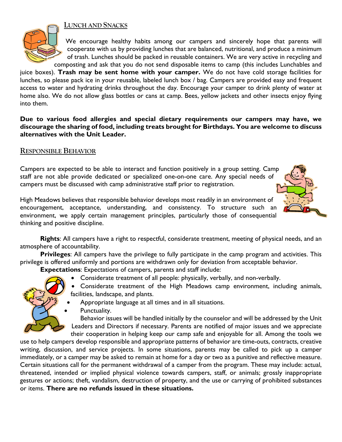**LUNCH AND SNACKS**



We encourage healthy habits among our campers and sincerely hope that parents will cooperate with us by providing lunches that are balanced, nutritional, and produce a minimum of trash. Lunches should be packed in reusable containers. We are very active in recycling and composting and ask that you do not send disposable items to camp (this includes Lunchables and

juice boxes). **Trash may be sent home with your camper.** We do not have cold storage facilities for lunches, so please pack ice in your reusable, labeled lunch box / bag. Campers are provided easy and frequent access to water and hydrating drinks throughout the day. Encourage your camper to drink plenty of water at home also. We do not allow glass bottles or cans at camp. Bees, yellow jackets and other insects enjoy flying into them.

**Due to various food allergies and special dietary requirements our campers may have, we discourage the sharing of food, including treats brought for Birthdays. You are welcome to discuss alternatives with the Unit Leader.**

# **RESPONSIBLE BEHAVIOR**

Campers are expected to be able to interact and function positively in a group setting. Camp staff are not able provide dedicated or specialized one-on-one care. Any special needs of campers must be discussed with camp administrative staff prior to registration.



High Meadows believes that responsible behavior develops most readily in an environment of encouragement, acceptance, understanding, and consistency. To structure such an environment, we apply certain management principles, particularly those of consequential thinking and positive discipline.

**Rights**: All campers have a right to respectful, considerate treatment, meeting of physical needs, and an atmosphere of accountability.

**Privileges**: All campers have the privilege to fully participate in the camp program and activities. This privilege is offered uniformly and portions are withdrawn only for deviation from acceptable behavior.

**Expectations**: Expectations of campers, parents and staff include:

- Considerate treatment of all people: physically, verbally, and non-verbally.
- Considerate treatment of the High Meadows camp environment, including animals, facilities, landscape, and plants.
- Appropriate language at all times and in all situations.
- Punctuality.

Behavior issues will be handled initially by the counselor and will be addressed by the Unit Leaders and Directors if necessary. Parents are notified of major issues and we appreciate their cooperation in helping keep our camp safe and enjoyable for all. Among the tools we

use to help campers develop responsible and appropriate patterns of behavior are time-outs, contracts, creative writing, discussion, and service projects. In some situations, parents may be called to pick up a camper immediately, or a camper may be asked to remain at home for a day or two as a punitive and reflective measure. Certain situations call for the permanent withdrawal of a camper from the program. These may include: actual, threatened, intended or implied physical violence towards campers, staff, or animals; grossly inappropriate gestures or actions; theft, vandalism, destruction of property, and the use or carrying of prohibited substances or items. **There are no refunds issued in these situations.**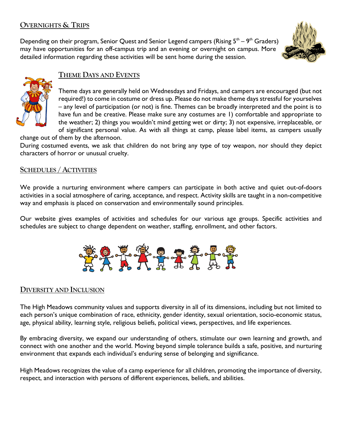# **OVERNIGHTS & TRIPS**

Depending on their program, Senior Quest and Senior Legend campers (Rising  $5<sup>th</sup> - 9<sup>th</sup>$  Graders) may have opportunities for an off-campus trip and an evening or overnight on campus. More detailed information regarding these activities will be sent home during the session.





# **THEME DAYS AND EVENTS**

Theme days are generally held on Wednesdays and Fridays, and campers are encouraged (but not required!) to come in costume or dress up. Please do not make theme days stressful for yourselves – any level of participation (or not) is fine. Themes can be broadly interpreted and the point is to have fun and be creative. Please make sure any costumes are 1) comfortable and appropriate to the weather; 2) things you wouldn't mind getting wet or dirty; 3) not expensive, irreplaceable, or of significant personal value. As with all things at camp, please label items, as campers usually

change out of them by the afternoon.

During costumed events, we ask that children do not bring any type of toy weapon, nor should they depict characters of horror or unusual cruelty.

#### **SCHEDULES / ACTIVITIES**

We provide a nurturing environment where campers can participate in both active and quiet out-of-doors activities in a social atmosphere of caring, acceptance, and respect. Activity skills are taught in a non-competitive way and emphasis is placed on conservation and environmentally sound principles.

Our website gives examples of activities and schedules for our various age groups. Specific activities and schedules are subject to change dependent on weather, staffing, enrollment, and other factors.



# **DIVERSITY AND INCLUSION**

The High Meadows community values and supports diversity in all of its dimensions, including but not limited to each person's unique combination of race, ethnicity, gender identity, sexual orientation, socio-economic status, age, physical ability, learning style, religious beliefs, political views, perspectives, and life experiences.

By embracing diversity, we expand our understanding of others, stimulate our own learning and growth, and connect with one another and the world. Moving beyond simple tolerance builds a safe, positive, and nurturing environment that expands each individual's enduring sense of belonging and significance.

High Meadows recognizes the value of a camp experience for all children, promoting the importance of diversity, respect, and interaction with persons of different experiences, beliefs, and abilities.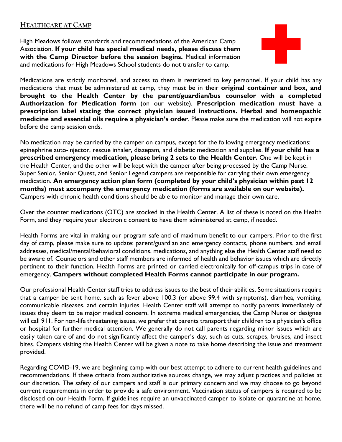# **HEALTHCARE AT CAMP**

High Meadows follows standards and recommendations of the American Camp Association. **If your child has special medical needs, please discuss them with the Camp Director before the session begins.** Medical information and medications for High Meadows School students do not transfer to camp.



Medications are strictly monitored, and access to them is restricted to key personnel. If your child has any medications that must be administered at camp, they must be in their **original container and box, and brought to the Health Center by the parent/guardian/bus counselor with a completed Authorization for Medication form** (on our website). **Prescription medication must have a prescription label stating the correct physician issued instructions. Herbal and homeopathic medicine and essential oils require a physician's order**. Please make sure the medication will not expire before the camp session ends.

No medication may be carried by the camper on campus, except for the following emergency medications: epinephrine auto-injector, rescue inhaler, diazepam, and diabetic medication and supplies. **If your child has a prescribed emergency medication, please bring 2 sets to the Health Center.** One will be kept in the Health Center, and the other will be kept with the camper after being processed by the Camp Nurse. Super Senior, Senior Quest, and Senior Legend campers are responsible for carrying their own emergency medication. **An emergency action plan form (completed by your child's physician within past 12 months) must accompany the emergency medication (forms are available on our website).** Campers with chronic health conditions should be able to monitor and manage their own care.

Over the counter medications (OTC) are stocked in the Health Center. A list of these is noted on the Health Form, and they require your electronic consent to have them administered at camp, if needed.

Health Forms are vital in making our program safe and of maximum benefit to our campers. Prior to the first day of camp, please make sure to update: parent/guardian and emergency contacts, phone numbers, and email addresses, medical/mental/behavioral conditions, medications, and anything else the Health Center staff need to be aware of. Counselors and other staff members are informed of health and behavior issues which are directly pertinent to their function. Health Forms are printed or carried electronically for off-campus trips in case of emergency. **Campers without completed Health Forms cannot participate in our program.** 

Our professional Health Center staff tries to address issues to the best of their abilities. Some situations require that a camper be sent home, such as fever above 100.3 (or above 99.4 with symptoms), diarrhea, vomiting, communicable diseases, and certain injuries. Health Center staff will attempt to notify parents immediately of issues they deem to be major medical concern. In extreme medical emergencies, the Camp Nurse or designee will call 911. For non-life threatening issues, we prefer that parents transport their children to a physician's office or hospital for further medical attention. We generally do not call parents regarding minor issues which are easily taken care of and do not significantly affect the camper's day, such as cuts, scrapes, bruises, and insect bites. Campers visiting the Health Center will be given a note to take home describing the issue and treatment provided.

Regarding COVID-19, we are beginning camp with our best attempt to adhere to current health guidelines and recommendations. If these criteria from authoritative sources change, we may adjust practices and policies at our discretion. The safety of our campers and staff is our primary concern and we may choose to go beyond current requirements in order to provide a safe environment. Vaccination status of campers is required to be disclosed on our Health Form. If guidelines require an unvaccinated camper to isolate or quarantine at home, there will be no refund of camp fees for days missed.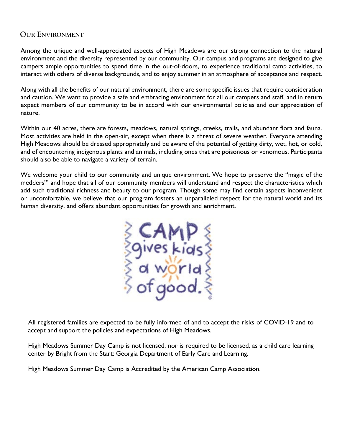#### **OUR ENVIRONMENT**

Among the unique and well-appreciated aspects of High Meadows are our strong connection to the natural environment and the diversity represented by our community. Our campus and programs are designed to give campers ample opportunities to spend time in the out-of-doors, to experience traditional camp activities, to interact with others of diverse backgrounds, and to enjoy summer in an atmosphere of acceptance and respect.

Along with all the benefits of our natural environment, there are some specific issues that require consideration and caution. We want to provide a safe and embracing environment for all our campers and staff, and in return expect members of our community to be in accord with our environmental policies and our appreciation of nature.

Within our 40 acres, there are forests, meadows, natural springs, creeks, trails, and abundant flora and fauna. Most activities are held in the open-air, except when there is a threat of severe weather. Everyone attending High Meadows should be dressed appropriately and be aware of the potential of getting dirty, wet, hot, or cold, and of encountering indigenous plants and animals, including ones that are poisonous or venomous. Participants should also be able to navigate a variety of terrain.

We welcome your child to our community and unique environment. We hope to preserve the "magic of the medders'" and hope that all of our community members will understand and respect the characteristics which add such traditional richness and beauty to our program. Though some may find certain aspects inconvenient or uncomfortable, we believe that our program fosters an unparalleled respect for the natural world and its human diversity, and offers abundant opportunities for growth and enrichment.



All registered families are expected to be fully informed of and to accept the risks of COVID-19 and to accept and support the policies and expectations of High Meadows.

High Meadows Summer Day Camp is not licensed, nor is required to be licensed, as a child care learning center by Bright from the Start: Georgia Department of Early Care and Learning.

High Meadows Summer Day Camp is Accredited by the American Camp Association.